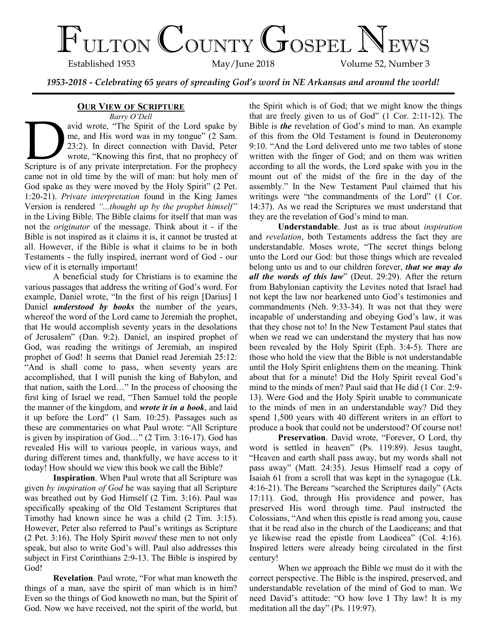# $\mathcal{F}_{\text{ULTON}}$  COUNTY GOSPEL NEWS

Volume 52, Number 3

*1953-2018 - Celebrating 65 years of spreading God's word in NE Arkansas and around the world!*

## **OUR VIEW OF SCRIPTURE**

*Barry O'Dell*

avid wrote, "The Spirit of the Lord spake by<br>me, and His word was in my tongue" (2 Sam.<br>23:2). In direct connection with David, Peter<br>wrote, "Knowing this first, that no prophecy of<br>Scripture is of any private interpretati avid wrote, "The Spirit of the Lord spake by me, and His word was in my tongue" (2 Sam. 23:2). In direct connection with David, Peter wrote, "Knowing this first, that no prophecy of came not in old time by the will of man: but holy men of God spake as they were moved by the Holy Spirit" (2 Pet. 1:20-21). *Private interpretation* found in the King James Version is rendered *"...thought up by the prophet himself"* in the Living Bible. The Bible claims for itself that man was not the *originator* of the message. Think about it - if the Bible is not inspired as it claims it is, it cannot be trusted at all. However, if the Bible is what it claims to be in both Testaments - the fully inspired, inerrant word of God - our view of it is eternally important!

A beneficial study for Christians is to examine the various passages that address the writing of God's word. For example, Daniel wrote, "In the first of his reign [Darius] I Daniel *understood by books* the number of the years, whereof the word of the Lord came to Jeremiah the prophet, that He would accomplish seventy years in the desolations of Jerusalem" (Dan. 9:2). Daniel, an inspired prophet of God, was reading the writings of Jeremiah, an inspired prophet of God! It seems that Daniel read Jeremiah 25:12: "And is shall come to pass, when seventy years are accomplished, that I will punish the king of Babylon, and that nation, saith the Lord…" In the process of choosing the first king of Israel we read, "Then Samuel told the people the manner of the kingdom, and *wrote it in a book*, and laid it up before the Lord" (1 Sam. 10:25). Passages such as these are commentaries on what Paul wrote: "All Scripture is given by inspiration of God…" (2 Tim. 3:16-17). God has revealed His will to various people, in various ways, and during different times and, thankfully, we have access to it today! How should we view this book we call the Bible?

**Inspiration**. When Paul wrote that all Scripture was given *by inspiration of God* he was saying that all Scripture was breathed out by God Himself (2 Tim. 3:16). Paul was specifically speaking of the Old Testament Scriptures that Timothy had known since he was a child (2 Tim. 3:15). However, Peter also referred to Paul's writings as Scripture (2 Pet. 3:16). The Holy Spirit *moved* these men to not only speak, but also to write God's will. Paul also addresses this subject in First Corinthians 2:9-13. The Bible is inspired by God!

**Revelation**. Paul wrote, "For what man knoweth the things of a man, save the spirit of man which is in him? Even so the things of God knoweth no man, but the Spirit of God. Now we have received, not the spirit of the world, but the Spirit which is of God; that we might know the things that are freely given to us of God" (1 Cor. 2:11-12). The Bible is *the* revelation of God's mind to man. An example of this from the Old Testament is found in Deuteronomy 9:10. "And the Lord delivered unto me two tables of stone written with the finger of God; and on them was written according to all the words, the Lord spake with you in the mount out of the midst of the fire in the day of the assembly." In the New Testament Paul claimed that his writings were "the commandments of the Lord" (1 Cor. 14:37). As we read the Scriptures we must understand that they are the revelation of God's mind to man.

**Understandable**. Just as is true about *inspiration* and *revelation*, both Testaments address the fact they are understandable. Moses wrote, "The secret things belong unto the Lord our God: but those things which are revealed belong unto us and to our children forever, *that we may do all the words of this law*" (Deut. 29:29). After the return from Babylonian captivity the Levites noted that Israel had not kept the law nor hearkened unto God's testimonies and commandments (Neh. 9:33-34). It was not that they were incapable of understanding and obeying God's law, it was that they chose not to! In the New Testament Paul states that when we read we can understand the mystery that has now been revealed by the Holy Spirit (Eph. 3:4-5). There are those who hold the view that the Bible is not understandable until the Holy Spirit enlightens them on the meaning. Think about that for a minute! Did the Holy Spirit reveal God's mind to the minds of men? Paul said that He did (1 Cor. 2:9- 13). Were God and the Holy Spirit unable to communicate to the minds of men in an understandable way? Did they spend 1,500 years with 40 different writers in an effort to produce a book that could not be understood? Of course not!

**Preservation**. David wrote, "Forever, O Lord, thy word is settled in heaven" (Ps. 119:89). Jesus taught, "Heaven and earth shall pass away, but my words shall not pass away" (Matt. 24:35). Jesus Himself read a copy of Isaiah 61 from a scroll that was kept in the synagogue (Lk. 4:16-21). The Bereans "searched the Scriptures daily" (Acts 17:11). God, through His providence and power, has preserved His word through time. Paul instructed the Colossians, "And when this epistle is read among you, cause that it be read also in the church of the Laodiceans; and that ye likewise read the epistle from Laodicea" (Col. 4:16). Inspired letters were already being circulated in the first century!

When we approach the Bible we must do it with the correct perspective. The Bible is the inspired, preserved, and understandable revelation of the mind of God to man. We need David's attitude: "O how love I Thy law! It is my meditation all the day" (Ps. 119:97).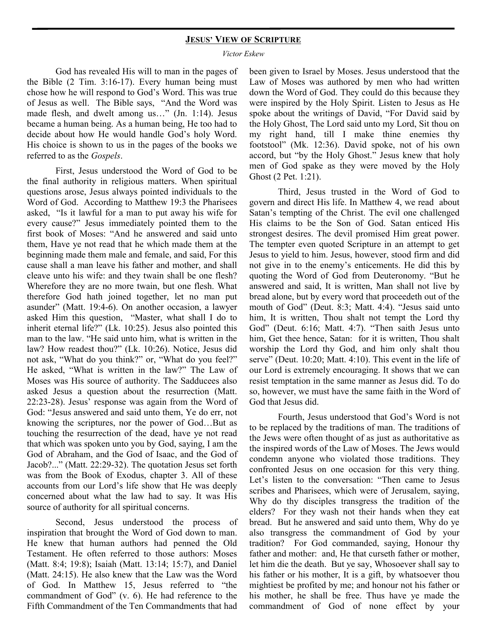#### **JESUS' VIEW OF SCRIPTURE**

*Victor Eskew*

God has revealed His will to man in the pages of the Bible (2 Tim. 3:16-17). Every human being must chose how he will respond to God's Word. This was true of Jesus as well. The Bible says, "And the Word was made flesh, and dwelt among us..." (Jn. 1:14). Jesus became a human being. As a human being, He too had to decide about how He would handle God's holy Word. His choice is shown to us in the pages of the books we referred to as the *Gospels*.

First, Jesus understood the Word of God to be the final authority in religious matters. When spiritual questions arose, Jesus always pointed individuals to the Word of God. According to Matthew 19:3 the Pharisees asked, "Is it lawful for a man to put away his wife for every cause?" Jesus immediately pointed them to the first book of Moses: "And he answered and said unto them, Have ye not read that he which made them at the beginning made them male and female, and said, For this cause shall a man leave his father and mother, and shall cleave unto his wife: and they twain shall be one flesh? Wherefore they are no more twain, but one flesh. What therefore God hath joined together, let no man put asunder" (Matt. 19:4-6). On another occasion, a lawyer asked Him this question, "Master, what shall I do to inherit eternal life?" (Lk. 10:25). Jesus also pointed this man to the law. "He said unto him, what is written in the law? How readest thou?" (Lk. 10:26). Notice, Jesus did not ask, "What do you think?" or, "What do you feel?" He asked, "What is written in the law?" The Law of Moses was His source of authority. The Sadducees also asked Jesus a question about the resurrection (Matt. 22:23-28). Jesus' response was again from the Word of God: "Jesus answered and said unto them, Ye do err, not knowing the scriptures, nor the power of God…But as touching the resurrection of the dead, have ye not read that which was spoken unto you by God, saying, I am the God of Abraham, and the God of Isaac, and the God of Jacob?..." (Matt. 22:29-32). The quotation Jesus set forth was from the Book of Exodus, chapter 3. All of these accounts from our Lord's life show that He was deeply concerned about what the law had to say. It was His source of authority for all spiritual concerns.

Second, Jesus understood the process of inspiration that brought the Word of God down to man. He knew that human authors had penned the Old Testament. He often referred to those authors: Moses (Matt. 8:4; 19:8); Isaiah (Matt. 13:14; 15:7), and Daniel (Matt. 24:15). He also knew that the Law was the Word of God. In Matthew 15, Jesus referred to "the commandment of God" (v. 6). He had reference to the Fifth Commandment of the Ten Commandments that had

been given to Israel by Moses. Jesus understood that the Law of Moses was authored by men who had written down the Word of God. They could do this because they were inspired by the Holy Spirit. Listen to Jesus as He spoke about the writings of David, "For David said by the Holy Ghost, The Lord said unto my Lord, Sit thou on my right hand, till I make thine enemies thy footstool" (Mk. 12:36). David spoke, not of his own accord, but "by the Holy Ghost." Jesus knew that holy men of God spake as they were moved by the Holy Ghost (2 Pet. 1:21).

Third, Jesus trusted in the Word of God to govern and direct His life. In Matthew 4, we read about Satan's tempting of the Christ. The evil one challenged His claims to be the Son of God. Satan enticed His strongest desires. The devil promised Him great power. The tempter even quoted Scripture in an attempt to get Jesus to yield to him. Jesus, however, stood firm and did not give in to the enemy's enticements. He did this by quoting the Word of God from Deuteronomy. "But he answered and said, It is written, Man shall not live by bread alone, but by every word that proceedeth out of the mouth of God" (Deut. 8:3; Matt. 4:4). "Jesus said unto him, It is written, Thou shalt not tempt the Lord thy God" (Deut. 6:16; Matt. 4:7). "Then saith Jesus unto him, Get thee hence, Satan: for it is written, Thou shalt worship the Lord thy God, and him only shalt thou serve" (Deut. 10:20; Matt. 4:10). This event in the life of our Lord is extremely encouraging. It shows that we can resist temptation in the same manner as Jesus did. To do so, however, we must have the same faith in the Word of God that Jesus did.

Fourth, Jesus understood that God's Word is not to be replaced by the traditions of man. The traditions of the Jews were often thought of as just as authoritative as the inspired words of the Law of Moses. The Jews would condemn anyone who violated those traditions. They confronted Jesus on one occasion for this very thing. Let's listen to the conversation: "Then came to Jesus scribes and Pharisees, which were of Jerusalem, saying, Why do thy disciples transgress the tradition of the elders? For they wash not their hands when they eat bread. But he answered and said unto them, Why do ye also transgress the commandment of God by your tradition? For God commanded, saying, Honour thy father and mother: and, He that curseth father or mother, let him die the death. But ye say, Whosoever shall say to his father or his mother, It is a gift, by whatsoever thou mightiest be profited by me; and honour not his father or his mother, he shall be free. Thus have ye made the commandment of God of none effect by your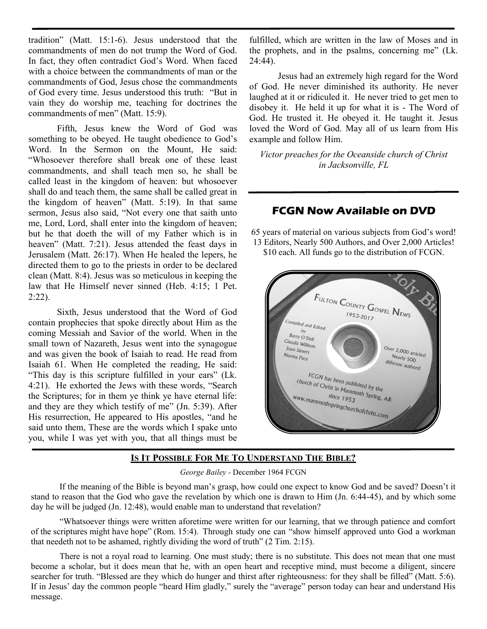tradition" (Matt. 15:1-6). Jesus understood that the commandments of men do not trump the Word of God. In fact, they often contradict God's Word. When faced with a choice between the commandments of man or the commandments of God, Jesus chose the commandments of God every time. Jesus understood this truth: "But in vain they do worship me, teaching for doctrines the commandments of men" (Matt. 15:9).

Fifth, Jesus knew the Word of God was something to be obeyed. He taught obedience to God's Word. In the Sermon on the Mount, He said: "Whosoever therefore shall break one of these least commandments, and shall teach men so, he shall be called least in the kingdom of heaven: but whosoever shall do and teach them, the same shall be called great in the kingdom of heaven" (Matt. 5:19). In that same sermon, Jesus also said, "Not every one that saith unto me, Lord, Lord, shall enter into the kingdom of heaven; but he that doeth the will of my Father which is in heaven" (Matt. 7:21). Jesus attended the feast days in Jerusalem (Matt. 26:17). When He healed the lepers, he directed them to go to the priests in order to be declared clean (Matt. 8:4). Jesus was so meticulous in keeping the law that He Himself never sinned (Heb. 4:15; 1 Pet. 2:22).

Sixth, Jesus understood that the Word of God contain prophecies that spoke directly about Him as the coming Messiah and Savior of the world. When in the small town of Nazareth, Jesus went into the synagogue and was given the book of Isaiah to read. He read from Isaiah 61. When He completed the reading, He said: "This day is this scripture fulfilled in your ears" (Lk. 4:21). He exhorted the Jews with these words, "Search the Scriptures; for in them ye think ye have eternal life: and they are they which testify of me" (Jn. 5:39). After His resurrection, He appeared to His apostles, "and he said unto them, These are the words which I spake unto you, while I was yet with you, that all things must be

fulfilled, which are written in the law of Moses and in the prophets, and in the psalms, concerning me" (Lk. 24:44).

Jesus had an extremely high regard for the Word of God. He never diminished its authority. He never laughed at it or ridiculed it. He never tried to get men to disobey it. He held it up for what it is - The Word of God. He trusted it. He obeyed it. He taught it. Jesus loved the Word of God. May all of us learn from His example and follow Him.

*Victor preaches for the Oceanside church of Christ in Jacksonville, FL*

# **FCGN Now Available on DVD**

65 years of material on various subjects from God's word! 13 Editors, Nearly 500 Authors, and Over 2,000 Articles! \$10 each. All funds go to the distribution of FCGN.



## **IS IT POSSIBLE FOR ME TO UNDERSTAND THE BIBLE?**

*George Bailey -* December 1964 FCGN

If the meaning of the Bible is beyond man's grasp, how could one expect to know God and be saved? Doesn't it stand to reason that the God who gave the revelation by which one is drawn to Him (Jn. 6:44-45), and by which some day he will be judged (Jn. 12:48), would enable man to understand that revelation?

"Whatsoever things were written aforetime were written for our learning, that we through patience and comfort of the scriptures might have hope" (Rom. 15:4). Through study one can "show himself approved unto God a workman that needeth not to be ashamed, rightly dividing the word of truth" (2 Tim. 2:15).

There is not a royal road to learning. One must study; there is no substitute. This does not mean that one must become a scholar, but it does mean that he, with an open heart and receptive mind, must become a diligent, sincere searcher for truth. "Blessed are they which do hunger and thirst after righteousness: for they shall be filled" (Matt. 5:6). If in Jesus' day the common people "heard Him gladly," surely the "average" person today can hear and understand His message.